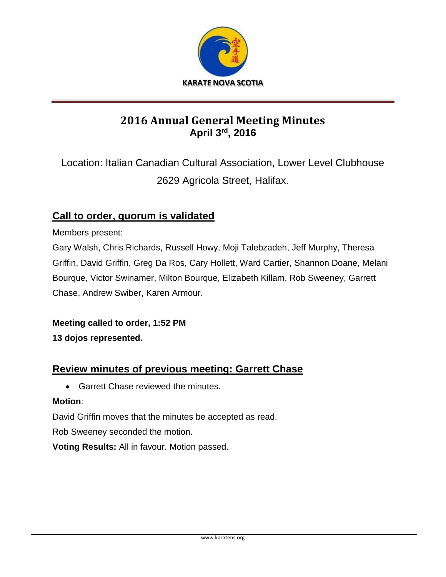

## **2016 Annual General Meeting Minutes April 3rd, 2016**

Location: Italian Canadian Cultural Association, Lower Level Clubhouse 2629 Agricola Street, Halifax.

## **Call to order, quorum is validated**

Members present:

Gary Walsh, Chris Richards, Russell Howy, Moji Talebzadeh, Jeff Murphy, Theresa Griffin, David Griffin, Greg Da Ros, Cary Hollett, Ward Cartier, Shannon Doane, Melani Bourque, Victor Swinamer, Milton Bourque, Elizabeth Killam, Rob Sweeney, Garrett Chase, Andrew Swiber, Karen Armour.

**Meeting called to order, 1:52 PM**

**13 dojos represented.**

## **Review minutes of previous meeting: Garrett Chase**

• Garrett Chase reviewed the minutes.

#### **Motion**:

David Griffin moves that the minutes be accepted as read.

Rob Sweeney seconded the motion.

**Voting Results:** All in favour. Motion passed.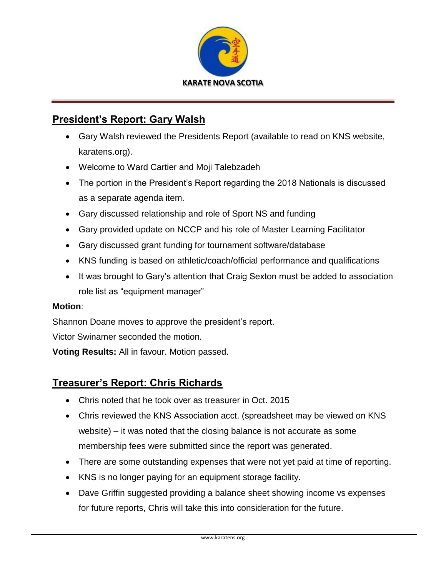

## **President's Report: Gary Walsh**

- Gary Walsh reviewed the Presidents Report (available to read on KNS website, karatens.org).
- Welcome to Ward Cartier and Moji Talebzadeh
- The portion in the President's Report regarding the 2018 Nationals is discussed as a separate agenda item.
- Gary discussed relationship and role of Sport NS and funding
- Gary provided update on NCCP and his role of Master Learning Facilitator
- Gary discussed grant funding for tournament software/database
- KNS funding is based on athletic/coach/official performance and qualifications
- It was brought to Gary's attention that Craig Sexton must be added to association role list as "equipment manager"

#### **Motion**:

Shannon Doane moves to approve the president's report.

Victor Swinamer seconded the motion.

**Voting Results:** All in favour. Motion passed.

### **Treasurer's Report: Chris Richards**

- Chris noted that he took over as treasurer in Oct. 2015
- Chris reviewed the KNS Association acct. (spreadsheet may be viewed on KNS website) – it was noted that the closing balance is not accurate as some membership fees were submitted since the report was generated.
- There are some outstanding expenses that were not yet paid at time of reporting.
- KNS is no longer paying for an equipment storage facility.
- Dave Griffin suggested providing a balance sheet showing income vs expenses for future reports, Chris will take this into consideration for the future.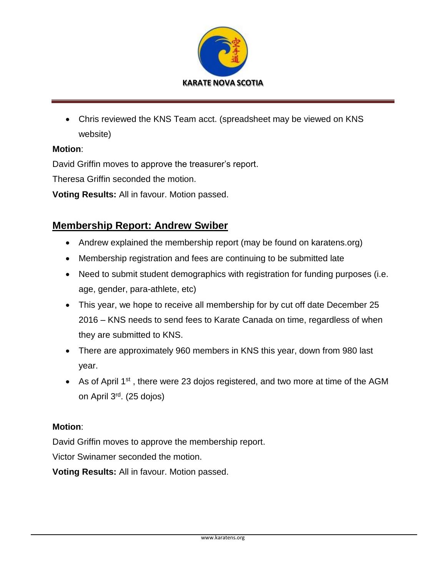

 Chris reviewed the KNS Team acct. (spreadsheet may be viewed on KNS website)

#### **Motion**:

David Griffin moves to approve the treasurer's report.

Theresa Griffin seconded the motion.

**Voting Results:** All in favour. Motion passed.

## **Membership Report: Andrew Swiber**

- Andrew explained the membership report (may be found on karatens.org)
- Membership registration and fees are continuing to be submitted late
- Need to submit student demographics with registration for funding purposes (i.e. age, gender, para-athlete, etc)
- This year, we hope to receive all membership for by cut off date December 25 2016 – KNS needs to send fees to Karate Canada on time, regardless of when they are submitted to KNS.
- There are approximately 960 members in KNS this year, down from 980 last year.
- As of April 1<sup>st</sup>, there were 23 dojos registered, and two more at time of the AGM on April 3rd. (25 dojos)

#### **Motion**:

David Griffin moves to approve the membership report.

Victor Swinamer seconded the motion.

**Voting Results:** All in favour. Motion passed.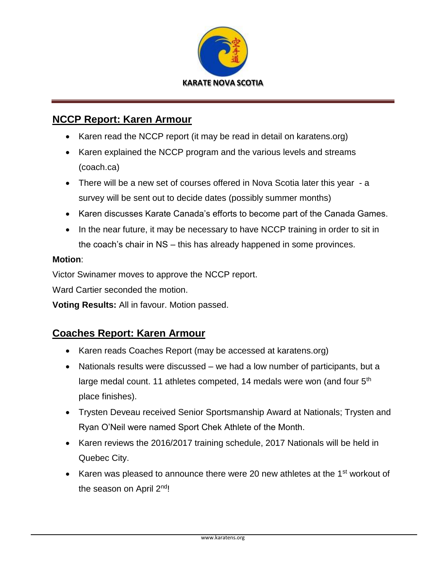

## **NCCP Report: Karen Armour**

- Karen read the NCCP report (it may be read in detail on karatens.org)
- Karen explained the NCCP program and the various levels and streams (coach.ca)
- There will be a new set of courses offered in Nova Scotia later this year a survey will be sent out to decide dates (possibly summer months)
- Karen discusses Karate Canada's efforts to become part of the Canada Games.
- In the near future, it may be necessary to have NCCP training in order to sit in the coach's chair in NS – this has already happened in some provinces.

#### **Motion**:

Victor Swinamer moves to approve the NCCP report.

Ward Cartier seconded the motion.

**Voting Results:** All in favour. Motion passed.

## **Coaches Report: Karen Armour**

- Karen reads Coaches Report (may be accessed at karatens.org)
- Nationals results were discussed we had a low number of participants, but a large medal count. 11 athletes competed, 14 medals were won (and four 5<sup>th</sup>) place finishes).
- Trysten Deveau received Senior Sportsmanship Award at Nationals; Trysten and Ryan O'Neil were named Sport Chek Athlete of the Month.
- Karen reviews the 2016/2017 training schedule, 2017 Nationals will be held in Quebec City.
- EXAM Karen was pleased to announce there were 20 new athletes at the 1<sup>st</sup> workout of the season on April 2<sup>nd</sup>!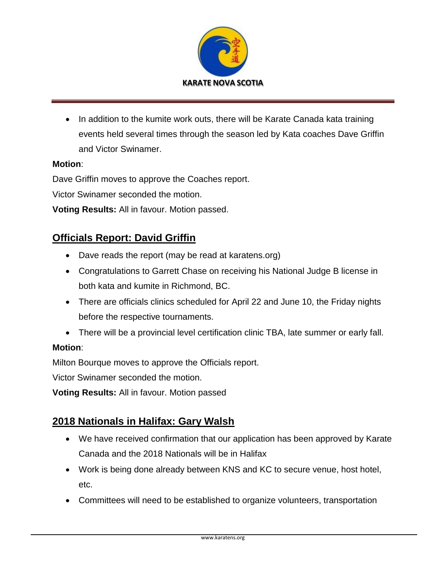

• In addition to the kumite work outs, there will be Karate Canada kata training events held several times through the season led by Kata coaches Dave Griffin and Victor Swinamer.

#### **Motion**:

Dave Griffin moves to approve the Coaches report.

Victor Swinamer seconded the motion.

**Voting Results:** All in favour. Motion passed.

## **Officials Report: David Griffin**

- Dave reads the report (may be read at karatens.org)
- Congratulations to Garrett Chase on receiving his National Judge B license in both kata and kumite in Richmond, BC.
- There are officials clinics scheduled for April 22 and June 10, the Friday nights before the respective tournaments.
- There will be a provincial level certification clinic TBA, late summer or early fall.

#### **Motion**:

Milton Bourque moves to approve the Officials report.

Victor Swinamer seconded the motion.

**Voting Results:** All in favour. Motion passed

## **2018 Nationals in Halifax: Gary Walsh**

- We have received confirmation that our application has been approved by Karate Canada and the 2018 Nationals will be in Halifax
- Work is being done already between KNS and KC to secure venue, host hotel, etc.
- Committees will need to be established to organize volunteers, transportation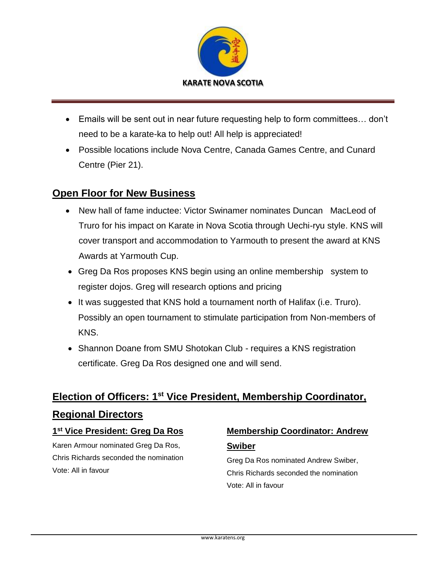

- Emails will be sent out in near future requesting help to form committees… don't need to be a karate-ka to help out! All help is appreciated!
- Possible locations include Nova Centre, Canada Games Centre, and Cunard Centre (Pier 21).

## **Open Floor for New Business**

- New hall of fame inductee: Victor Swinamer nominates Duncan MacLeod of Truro for his impact on Karate in Nova Scotia through Uechi-ryu style. KNS will cover transport and accommodation to Yarmouth to present the award at KNS Awards at Yarmouth Cup.
- Greg Da Ros proposes KNS begin using an online membership system to register dojos. Greg will research options and pricing
- It was suggested that KNS hold a tournament north of Halifax (i.e. Truro). Possibly an open tournament to stimulate participation from Non-members of KNS.
- Shannon Doane from SMU Shotokan Club requires a KNS registration certificate. Greg Da Ros designed one and will send.

# **Election of Officers: 1st Vice President, Membership Coordinator, Regional Directors**

#### **1 st Vice President: Greg Da Ros**

Karen Armour nominated Greg Da Ros, Chris Richards seconded the nomination Vote: All in favour

## **Membership Coordinator: Andrew Swiber**

Greg Da Ros nominated Andrew Swiber, Chris Richards seconded the nomination Vote: All in favour